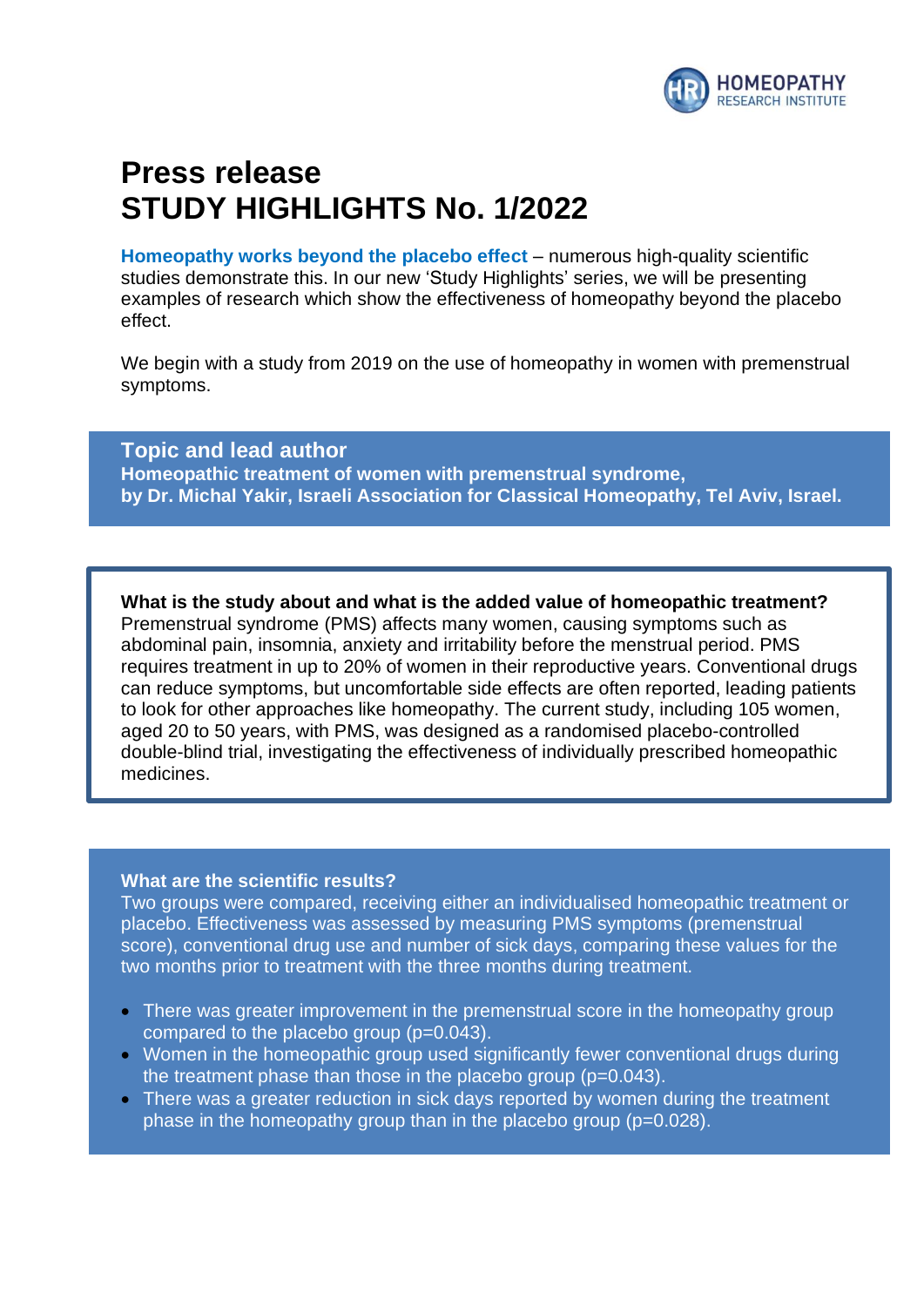

# **Press release STUDY HIGHLIGHTS No. 1/2022**

**Homeopathy works beyond the placebo effect** – numerous high-quality scientific studies demonstrate this. In our new 'Study Highlights' series, we will be presenting examples of research which show the effectiveness of homeopathy beyond the placebo effect.

We begin with a study from 2019 on the use of homeopathy in women with premenstrual symptoms.

**Topic and lead author Homeopathic treatment of women with premenstrual syndrome, by Dr. Michal Yakir, Israeli Association for Classical Homeopathy, Tel Aviv, Israel.**

**What is the study about and what is the added value of homeopathic treatment?** Premenstrual syndrome (PMS) affects many women, causing symptoms such as abdominal pain, insomnia, anxiety and irritability before the menstrual period. PMS requires treatment in up to 20% of women in their reproductive years. Conventional drugs can reduce symptoms, but uncomfortable side effects are often reported, leading patients to look for other approaches like homeopathy. The current study, including 105 women, aged 20 to 50 years, with PMS, was designed as a randomised placebo-controlled double-blind trial, investigating the effectiveness of individually prescribed homeopathic medicines.

#### **What are the scientific results?**

Two groups were compared, receiving either an individualised homeopathic treatment or placebo. Effectiveness was assessed by measuring PMS symptoms (premenstrual score), conventional drug use and number of sick days, comparing these values for the two months prior to treatment with the three months during treatment.

- There was greater improvement in the premenstrual score in the homeopathy group compared to the placebo group (p=0.043).
- Women in the homeopathic group used significantly fewer conventional drugs during the treatment phase than those in the placebo group  $(p=0.043)$ .
- There was a greater reduction in sick days reported by women during the treatment phase in the homeopathy group than in the placebo group (p=0.028).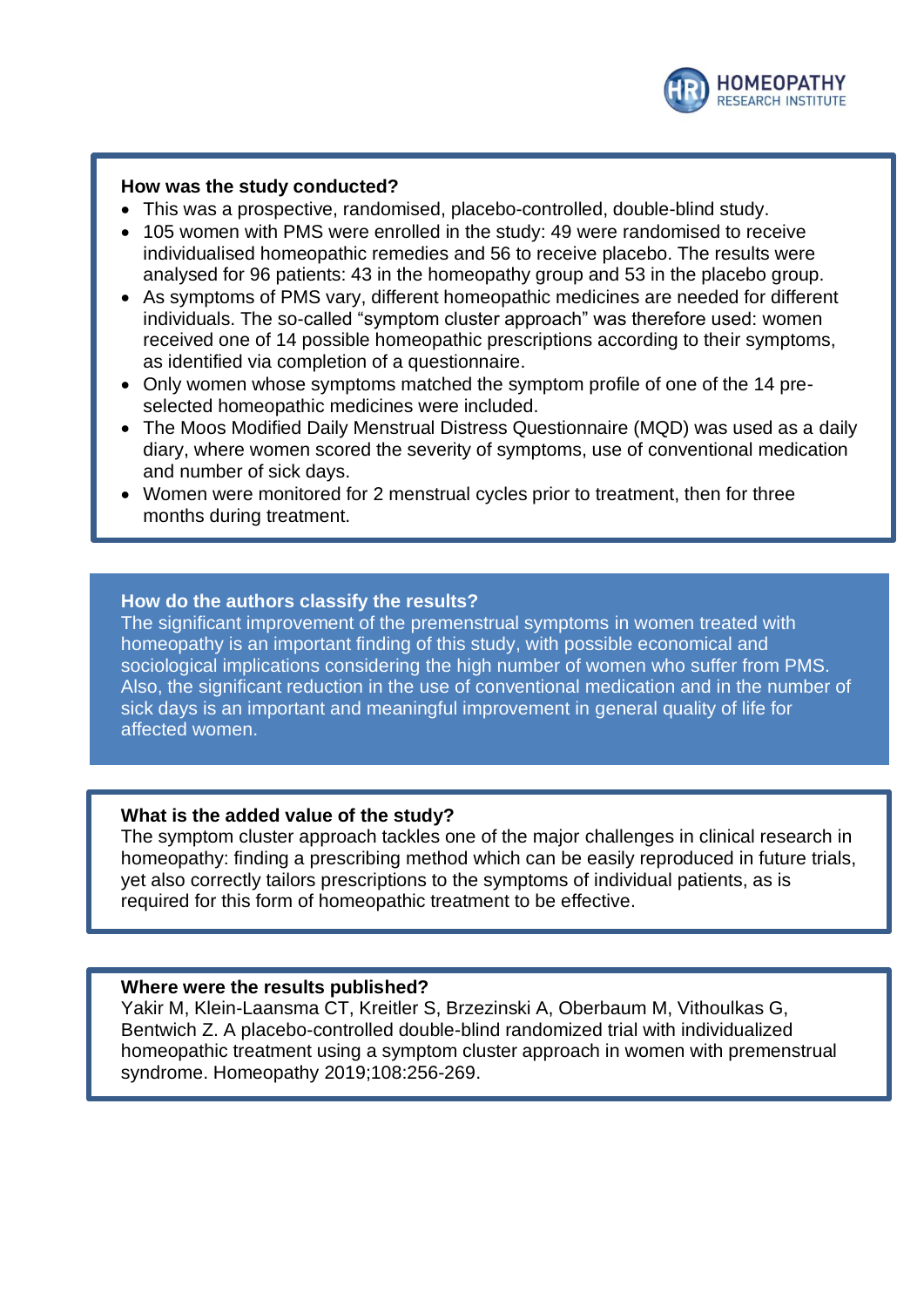

### **How was the study conducted?**

- This was a prospective, randomised, placebo-controlled, double-blind study.
- 105 women with PMS were enrolled in the study: 49 were randomised to receive individualised homeopathic remedies and 56 to receive placebo. The results were analysed for 96 patients: 43 in the homeopathy group and 53 in the placebo group.
- As symptoms of PMS vary, different homeopathic medicines are needed for different individuals. The so-called "symptom cluster approach" was therefore used: women received one of 14 possible homeopathic prescriptions according to their symptoms, as identified via completion of a questionnaire.
- Only women whose symptoms matched the symptom profile of one of the 14 preselected homeopathic medicines were included.
- The Moos Modified Daily Menstrual Distress Questionnaire (MQD) was used as a daily diary, where women scored the severity of symptoms, use of conventional medication and number of sick days.
- Women were monitored for 2 menstrual cycles prior to treatment, then for three months during treatment.

### **How do the authors classify the results?**

The significant improvement of the premenstrual symptoms in women treated with homeopathy is an important finding of this study, with possible economical and sociological implications considering the high number of women who suffer from PMS. Also, the significant reduction in the use of conventional medication and in the number of sick days is an important and meaningful improvement in general quality of life for affected women.

### **What is the added value of the study?**

The symptom cluster approach tackles one of the major challenges in clinical research in homeopathy: finding a prescribing method which can be easily reproduced in future trials, yet also correctly tailors prescriptions to the symptoms of individual patients, as is required for this form of homeopathic treatment to be effective.

### **Where were the results published?**

Yakir M, Klein-Laansma CT, Kreitler S, Brzezinski A, Oberbaum M, Vithoulkas G, Bentwich Z. A placebo-controlled double-blind randomized trial with individualized homeopathic treatment using a symptom cluster approach in women with premenstrual syndrome. Homeopathy 2019;108:256-269.